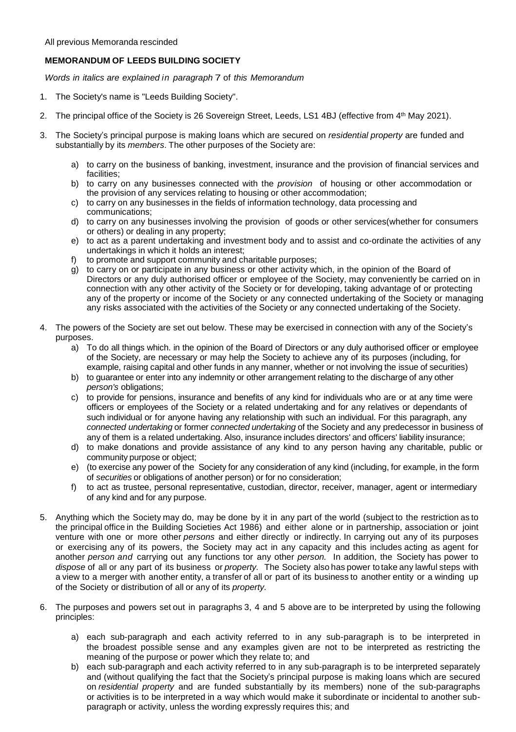# **MEMORANDUM OF LEEDS BUILDING SOCIETY**

*Words in italics are explained in paragraph* 7 of *this Memorandum*

- 1. The Society's name is "Leeds Building Society".
- 2. The principal office of the Society is 26 Sovereign Street, Leeds, LS1 4BJ (effective from 4th May 2021).
- 3. The Society's principal purpose is making loans which are secured on *residential property* are funded and substantially by its *members*. The other purposes of the Society are:
	- a) to carry on the business of banking, investment, insurance and the provision of financial services and facilities;
	- b) to carry on any businesses connected with the *provision* of housing or other accommodation or the provision of any services relating to housing or other accommodation;
	- c) to carry on any businesses in the fields of information technology, data processing and communications;
	- d) to carry on any businesses involving the provision of goods or other services(whether for consumers or others) or dealing in any property;
	- e) to act as a parent undertaking and investment body and to assist and co-ordinate the activities of any undertakings in which it holds an interest;
	- f) to promote and support community and charitable purposes;
	- g) to carry on or participate in any business or other activity which, in the opinion of the Board of Directors or any duly authorised officer or employee of the Society, may conveniently be carried on in connection with any other activity of the Society or for developing, taking advantage of or protecting any of the property or income of the Society or any connected undertaking of the Society or managing any risks associated with the activities of the Society or any connected undertaking of the Society.
- 4. The powers of the Society are set out below. These may be exercised in connection with any of the Society's purposes.
	- a) To do all things which. in the opinion of the Board of Directors or any duly authorised officer or employee of the Society, are necessary or may help the Society to achieve any of its purposes (including, for example, raising capital and other funds in any manner, whether or not involving the issue of securities)
	- b) to guarantee or enter into any indemnity or other arrangement relating to the discharge of any other *person's* obligations;
	- c) to provide for pensions, insurance and benefits of any kind for individuals who are or at any time were officers or employees of the Society or a related undertaking and for any relatives or dependants of such individual or for anyone having any relationship with such an individual. For this paragraph, any *connected undertaking* or former *connected undertaking* of the Society and any predecessor in business of any of them is a related undertaking. Also, insurance includes directors' and officers' liability insurance;
	- d) to make donations and provide assistance of any kind to any person having any charitable, public or community purpose or object;
	- e) (to exercise any power of the Society for any consideration of any kind (including, for example, in the form of *securities* or obligations of another person) or for no consideration;
	- f) to act as trustee, personal representative, custodian, director, receiver, manager, agent or intermediary of any kind and for any purpose.
- 5. Anything which the Society may do, may be done by it in any part of the world (subject to the restriction as to the principal office in the Building Societies Act 1986) and either alone or in partnership, association or joint venture with one or more other *persons* and either directly or indirectly. In carrying out any of its purposes or exercising any of its powers, the Society may act in any capacity and this includes acting as agent for another *person and* carrying out any functions tor any other *person.* In addition, the Society has power to *dispose* of all or any part of its business or *property.* The Society also has power to take any lawful steps with a view to a merger with another entity, a transfer of all or part of its business to another entity or a winding up of the Society or distribution of all or any of its *property.*
- 6. The purposes and powers set out in paragraphs 3, 4 and 5 above are to be interpreted by using the following principles:
	- a) each sub-paragraph and each activity referred to in any sub-paragraph is to be interpreted in the broadest possible sense and any examples given are not to be interpreted as restricting the meaning of the purpose or power which they relate to; and
	- b) each sub-paragraph and each activity referred to in any sub-paragraph is to be interpreted separately and (without qualifying the fact that the Society's principal purpose is making loans which are secured on *residential property* and are funded substantially by its members) none of the sub-paragraphs or activities is to be interpreted in a way which would make it subordinate or incidental to another subparagraph or activity, unless the wording expressly requires this; and